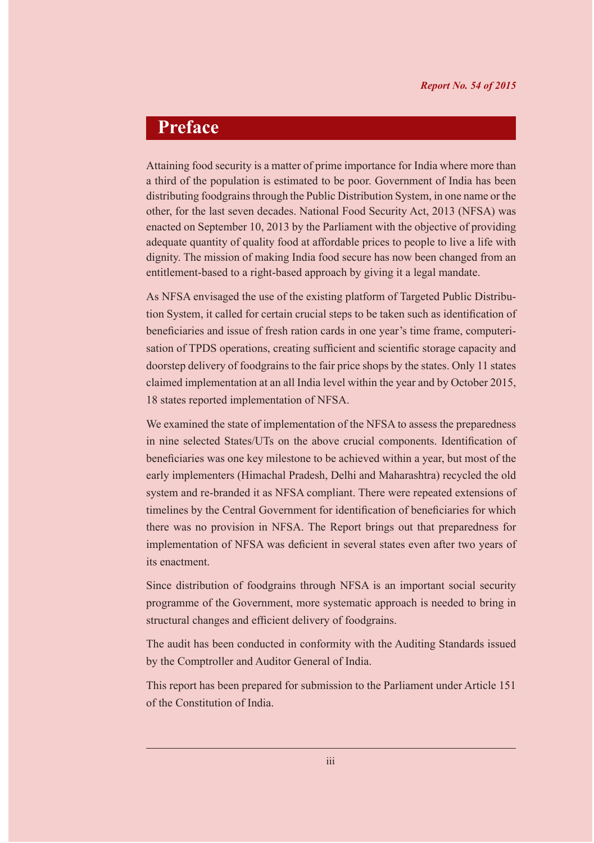# **Preface**

Attaining food security is a matter of prime importance for India where more than a third of the population is estimated to be poor. Government of India has been distributing foodgrains through the Public Distribution System, in one name or the other, for the last seven decades. National Food Security Act, 2013 (NFSA) was enacted on September 10, 2013 by the Parliament with the objective of providing adequate quantity of quality food at affordable prices to people to live a life with dignity. The mission of making India food secure has now been changed from an entitlement-based to a right-based approach by giving it a legal mandate.

As NFSA envisaged the use of the existing platform of Targeted Public Distribution System, it called for certain crucial steps to be taken such as identification of beneficiaries and issue of fresh ration cards in one year's time frame, computerisation of TPDS operations, creating sufficient and scientific storage capacity and doorstep delivery of foodgrains to the fair price shops by the states. Only 11 states claimed implementation at an all India level within the year and by October 2015, 18 states reported implementation of NFSA.

We examined the state of implementation of the NFSA to assess the preparedness in nine selected States/UTs on the above crucial components. Identification of beneficiaries was one key milestone to be achieved within a year, but most of the early implementers (Himachal Pradesh, Delhi and Maharashtra) recycled the old system and re-branded it as NFSA compliant. There were repeated extensions of timelines by the Central Government for identification of beneficiaries for which there was no provision in NFSA. The Report brings out that preparedness for implementation of NFSA was deficient in several states even after two years of its enactment.

Since distribution of foodgrains through NFSA is an important social security programme of the Government, more systematic approach is needed to bring in structural changes and efficient delivery of foodgrains.

The audit has been conducted in conformity with the Auditing Standards issued by the Comptroller and Auditor General of India.

This report has been prepared for submission to the Parliament under Article 151 of the Constitution of India.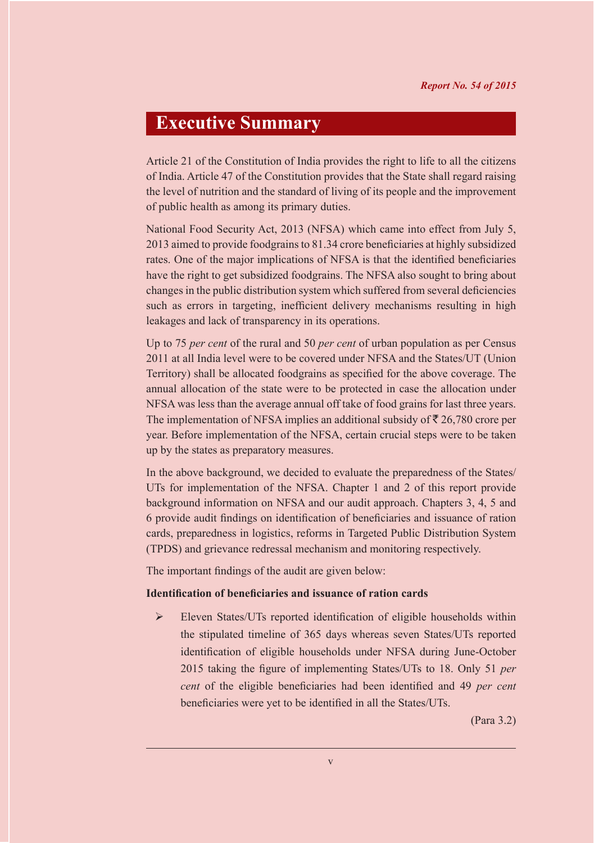# **Executive Summary**

Article 21 of the Constitution of India provides the right to life to all the citizens of India. Article 47 of the Constitution provides that the State shall regard raising the level of nutrition and the standard of living of its people and the improvement of public health as among its primary duties.

National Food Security Act, 2013 (NFSA) which came into effect from July 5, 2013 aimed to provide foodgrains to 81.34 crore beneficiaries at highly subsidized rates. One of the major implications of NFSA is that the identified beneficiaries have the right to get subsidized foodgrains. The NFSA also sought to bring about changes in the public distribution system which suffered from several deficiencies such as errors in targeting, inefficient delivery mechanisms resulting in high leakages and lack of transparency in its operations.

Up to 75 *per cent* of the rural and 50 *per cent* of urban population as per Census 2011 at all India level were to be covered under NFSA and the States/UT (Union Territory) shall be allocated foodgrains as specified for the above coverage. The annual allocation of the state were to be protected in case the allocation under NFSA was less than the average annual off take of food grains for last three years. The implementation of NFSA implies an additional subsidy of  $\bar{\tau}$  26,780 crore per year. Before implementation of the NFSA, certain crucial steps were to be taken up by the states as preparatory measures.

In the above background, we decided to evaluate the preparedness of the States/ UTs for implementation of the NFSA. Chapter 1 and 2 of this report provide background information on NFSA and our audit approach. Chapters 3, 4, 5 and 6 provide audit findings on identification of beneficiaries and issuance of ration cards, preparedness in logistics, reforms in Targeted Public Distribution System (TPDS) and grievance redressal mechanism and monitoring respectively.

The important findings of the audit are given below:

#### **Identification of beneficiaries and issuance of ration cards**

 Eleven States/UTs reported identification of eligible households within the stipulated timeline of 365 days whereas seven States/UTs reported identification of eligible households under NFSA during June-October 2015 taking the figure of implementing States/UTs to 18. Only 51 *per cent* of the eligible beneficiaries had been identified and 49 *per cent*  beneficiaries were yet to be identified in all the States/UTs.

(Para 3.2)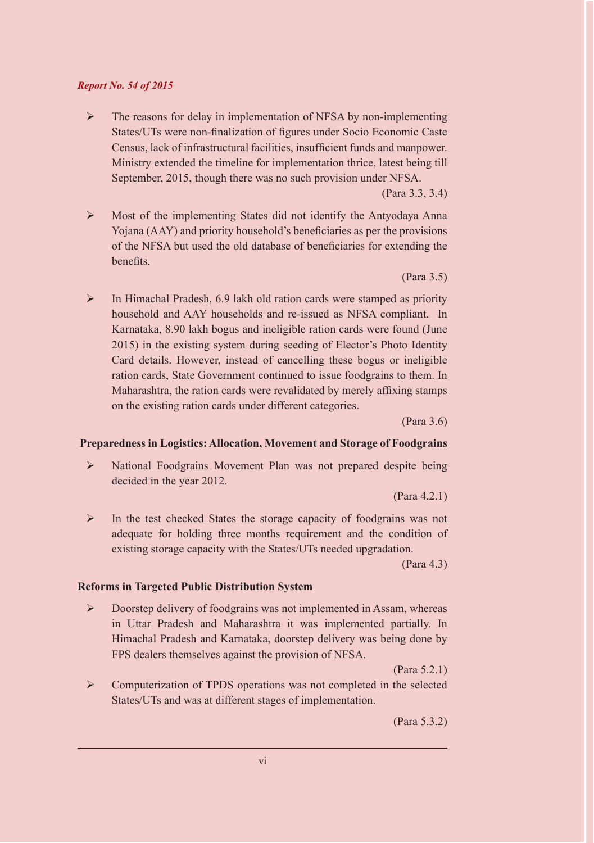### *Report No. 54 of 2015*

 $\triangleright$  The reasons for delay in implementation of NFSA by non-implementing States/UTs were non-finalization of figures under Socio Economic Caste Census, lack of infrastructural facilities, insufficient funds and manpower. Ministry extended the timeline for implementation thrice, latest being till September, 2015, though there was no such provision under NFSA.

(Para 3.3, 3.4)

 Most of the implementing States did not identify the Antyodaya Anna Yojana (AAY) and priority household's beneficiaries as per the provisions of the NFSA but used the old database of beneficiaries for extending the benefits.

(Para 3.5)

 $\triangleright$  In Himachal Pradesh, 6.9 lakh old ration cards were stamped as priority household and AAY households and re-issued as NFSA compliant. In Karnataka, 8.90 lakh bogus and ineligible ration cards were found (June 2015) in the existing system during seeding of Elector's Photo Identity Card details. However, instead of cancelling these bogus or ineligible ration cards, State Government continued to issue foodgrains to them. In Maharashtra, the ration cards were revalidated by merely affixing stamps on the existing ration cards under different categories.

(Para 3.6)

### **Preparedness in Logistics: Allocation, Movement and Storage of Foodgrains**

 National Foodgrains Movement Plan was not prepared despite being decided in the year 2012.

(Para 4.2.1)

 $\triangleright$  In the test checked States the storage capacity of foodgrains was not adequate for holding three months requirement and the condition of existing storage capacity with the States/UTs needed upgradation.

(Para 4.3)

### **Reforms in Targeted Public Distribution System**

 $\triangleright$  Doorstep delivery of foodgrains was not implemented in Assam, whereas in Uttar Pradesh and Maharashtra it was implemented partially. In Himachal Pradesh and Karnataka, doorstep delivery was being done by FPS dealers themselves against the provision of NFSA.

(Para 5.2.1)

 Computerization of TPDS operations was not completed in the selected States/UTs and was at different stages of implementation.

(Para 5.3.2)